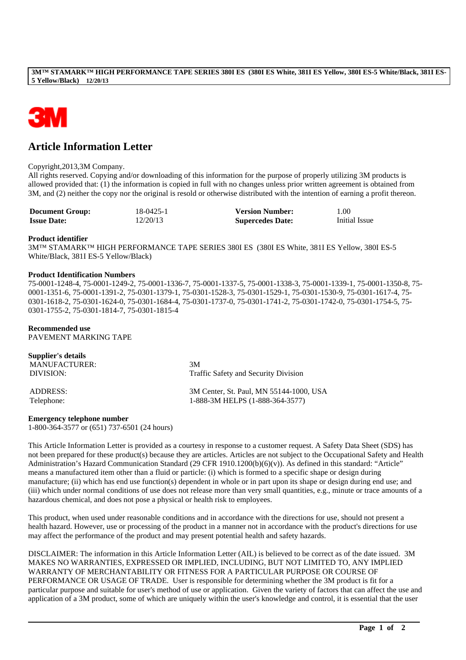#### **3M™ STAMARK™ HIGH PERFORMANCE TAPE SERIES 380I ES (380I ES White, 381I ES Yellow, 380I ES-5 White/Black, 381I ES-5 Yellow/Black) 12/20/13**



# **Article Information Letter**

Copyright,2013,3M Company.

All rights reserved. Copying and/or downloading of this information for the purpose of properly utilizing 3M products is allowed provided that: (1) the information is copied in full with no changes unless prior written agreement is obtained from 3M, and (2) neither the copy nor the original is resold or otherwise distributed with the intention of earning a profit thereon.

| <b>Document Group:</b> | 18-0425-1 | <b>Version Number:</b>  | 1.00          |
|------------------------|-----------|-------------------------|---------------|
| <b>Issue Date:</b>     | 12/20/13  | <b>Supercedes Date:</b> | Initial Issue |

## **Product identifier**

3M™ STAMARK™ HIGH PERFORMANCE TAPE SERIES 380I ES (380I ES White, 381I ES Yellow, 380I ES-5 White/Black, 381I ES-5 Yellow/Black)

#### **Product Identification Numbers**

75-0001-1248-4, 75-0001-1249-2, 75-0001-1336-7, 75-0001-1337-5, 75-0001-1338-3, 75-0001-1339-1, 75-0001-1350-8, 75- 0001-1351-6, 75-0001-1391-2, 75-0301-1379-1, 75-0301-1528-3, 75-0301-1529-1, 75-0301-1530-9, 75-0301-1617-4, 75- 0301-1618-2, 75-0301-1624-0, 75-0301-1684-4, 75-0301-1737-0, 75-0301-1741-2, 75-0301-1742-0, 75-0301-1754-5, 75- 0301-1755-2, 75-0301-1814-7, 75-0301-1815-4

## **Recommended use**

PAVEMENT MARKING TAPE

| Supplier's details<br>MANUFACTURER:<br>DIVISION: | 3M<br>Traffic Safety and Security Division |
|--------------------------------------------------|--------------------------------------------|
| ADDRESS:                                         | 3M Center, St. Paul, MN 55144-1000, USA    |
| Telephone:                                       | 1-888-3M HELPS (1-888-364-3577)            |

## **Emergency telephone number**

1-800-364-3577 or (651) 737-6501 (24 hours)

This Article Information Letter is provided as a courtesy in response to a customer request. A Safety Data Sheet (SDS) has not been prepared for these product(s) because they are articles. Articles are not subject to the Occupational Safety and Health Administration's Hazard Communication Standard (29 CFR 1910.1200(b)(6)(v)). As defined in this standard: "Article" means a manufactured item other than a fluid or particle: (i) which is formed to a specific shape or design during manufacture; (ii) which has end use function(s) dependent in whole or in part upon its shape or design during end use; and (iii) which under normal conditions of use does not release more than very small quantities, e.g., minute or trace amounts of a hazardous chemical, and does not pose a physical or health risk to employees.

This product, when used under reasonable conditions and in accordance with the directions for use, should not present a health hazard. However, use or processing of the product in a manner not in accordance with the product's directions for use may affect the performance of the product and may present potential health and safety hazards.

DISCLAIMER: The information in this Article Information Letter (AIL) is believed to be correct as of the date issued. 3M MAKES NO WARRANTIES, EXPRESSED OR IMPLIED, INCLUDING, BUT NOT LIMITED TO, ANY IMPLIED WARRANTY OF MERCHANTABILITY OR FITNESS FOR A PARTICULAR PURPOSE OR COURSE OF PERFORMANCE OR USAGE OF TRADE. User is responsible for determining whether the 3M product is fit for a particular purpose and suitable for user's method of use or application. Given the variety of factors that can affect the use and application of a 3M product, some of which are uniquely within the user's knowledge and control, it is essential that the user

\_\_\_\_\_\_\_\_\_\_\_\_\_\_\_\_\_\_\_\_\_\_\_\_\_\_\_\_\_\_\_\_\_\_\_\_\_\_\_\_\_\_\_\_\_\_\_\_\_\_\_\_\_\_\_\_\_\_\_\_\_\_\_\_\_\_\_\_\_\_\_\_\_\_\_\_\_\_\_\_\_\_\_\_\_\_\_\_\_\_